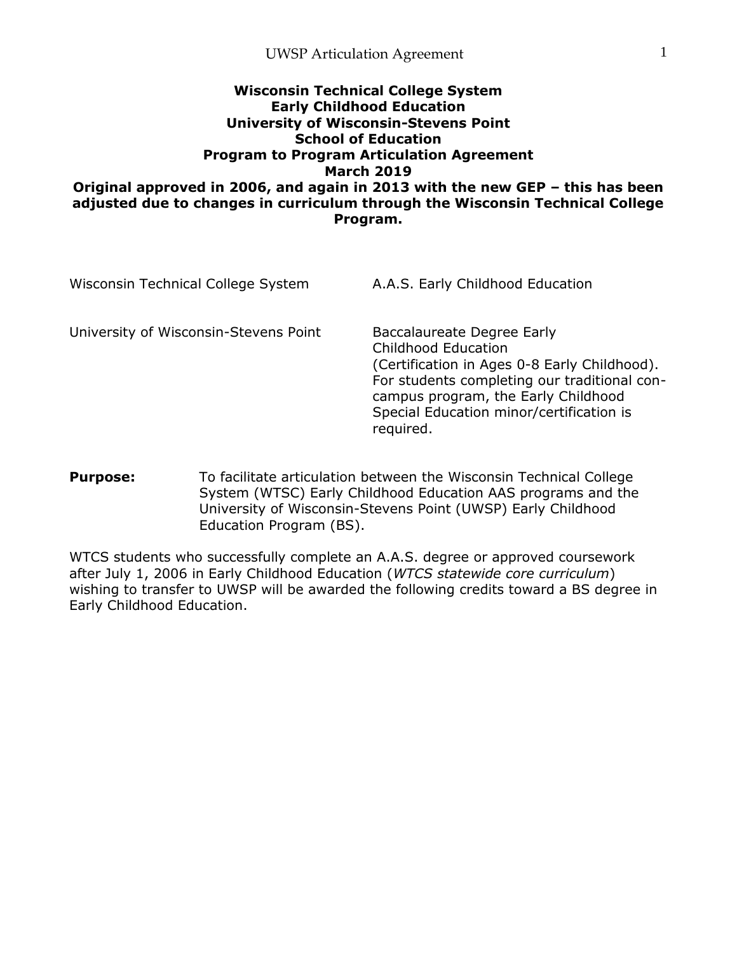#### **Wisconsin Technical College System Early Childhood Education University of Wisconsin-Stevens Point School of Education Program to Program Articulation Agreement March 2019 Original approved in 2006, and again in 2013 with the new GEP – this has been adjusted due to changes in curriculum through the Wisconsin Technical College Program.**

| Wisconsin Technical College System    | A.A.S. Early Childhood Education                                                                                                                                                                                                                  |
|---------------------------------------|---------------------------------------------------------------------------------------------------------------------------------------------------------------------------------------------------------------------------------------------------|
| University of Wisconsin-Stevens Point | Baccalaureate Degree Early<br>Childhood Education<br>(Certification in Ages 0-8 Early Childhood).<br>For students completing our traditional con-<br>campus program, the Early Childhood<br>Special Education minor/certification is<br>required. |

**Purpose:** To facilitate articulation between the Wisconsin Technical College System (WTSC) Early Childhood Education AAS programs and the University of Wisconsin-Stevens Point (UWSP) Early Childhood Education Program (BS).

WTCS students who successfully complete an A.A.S. degree or approved coursework after July 1, 2006 in Early Childhood Education (*WTCS statewide core curriculum*) wishing to transfer to UWSP will be awarded the following credits toward a BS degree in Early Childhood Education.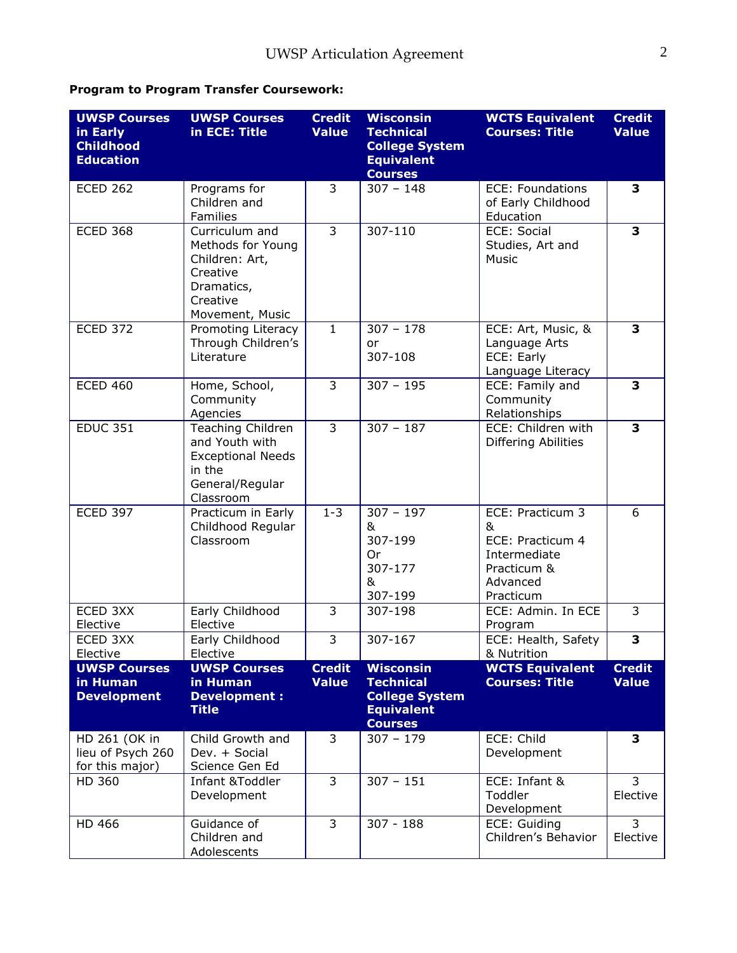# **Program to Program Transfer Coursework:**

| <b>UWSP Courses</b><br>in Early<br><b>Childhood</b><br><b>Education</b> | <b>UWSP Courses</b><br>in ECE: Title                                                                             | <b>Credit</b><br><b>Value</b> | <b>Wisconsin</b><br><b>Technical</b><br><b>College System</b><br><b>Equivalent</b><br><b>Courses</b> | <b>WCTS Equivalent</b><br><b>Courses: Title</b>                                                   | <b>Credit</b><br><b>Value</b> |
|-------------------------------------------------------------------------|------------------------------------------------------------------------------------------------------------------|-------------------------------|------------------------------------------------------------------------------------------------------|---------------------------------------------------------------------------------------------------|-------------------------------|
| <b>ECED 262</b>                                                         | Programs for<br>Children and<br>Families                                                                         | 3                             | $307 - 148$                                                                                          | <b>ECE: Foundations</b><br>of Early Childhood<br>Education                                        | 3                             |
| <b>ECED 368</b>                                                         | Curriculum and<br>Methods for Young<br>Children: Art,<br>Creative<br>Dramatics,<br>Creative<br>Movement, Music   | $\overline{3}$                | $307 - 110$                                                                                          | <b>ECE: Social</b><br>Studies, Art and<br>Music                                                   | $\overline{\mathbf{3}}$       |
| <b>ECED 372</b>                                                         | Promoting Literacy<br>Through Children's<br>Literature                                                           | $\mathbf{1}$                  | $307 - 178$<br>or<br>307-108                                                                         | ECE: Art, Music, &<br>Language Arts<br>ECE: Early<br>Language Literacy                            | 3                             |
| <b>ECED 460</b>                                                         | Home, School,<br>Community<br>Agencies                                                                           | 3                             | $307 - 195$                                                                                          | ECE: Family and<br>Community<br>Relationships                                                     | 3                             |
| <b>EDUC 351</b>                                                         | <b>Teaching Children</b><br>and Youth with<br><b>Exceptional Needs</b><br>in the<br>General/Regular<br>Classroom | $\overline{3}$                | $307 - 187$                                                                                          | ECE: Children with<br>Differing Abilities                                                         | 3                             |
| <b>ECED 397</b>                                                         | Practicum in Early<br>Childhood Regular<br>Classroom                                                             | $1 - 3$                       | $307 - 197$<br>&<br>307-199<br>0r<br>307-177<br>&<br>307-199                                         | ECE: Practicum 3<br>&<br>ECE: Practicum 4<br>Intermediate<br>Practicum &<br>Advanced<br>Practicum | 6                             |
| ECED 3XX<br>Elective                                                    | Early Childhood<br>Elective                                                                                      | $\overline{3}$                | 307-198                                                                                              | ECE: Admin. In ECE<br>Program                                                                     | $\overline{3}$                |
| ECED 3XX<br>Elective                                                    | Early Childhood<br>Elective                                                                                      | 3                             | 307-167                                                                                              | ECE: Health, Safety<br>& Nutrition                                                                | 3                             |
| <b>UWSP Courses</b><br>in Human<br><b>Development</b>                   | <b>UWSP Courses</b><br>in Human<br>Development :<br><b>Title</b>                                                 | <b>Credit</b><br><b>Value</b> | <b>Wisconsin</b><br><b>Technical</b><br><b>College System</b><br><b>Equivalent</b><br><b>Courses</b> | <b>WCTS Equivalent</b><br><b>Courses: Title</b>                                                   | <b>Credit</b><br><b>Value</b> |
| HD 261 (OK in<br>lieu of Psych 260<br>for this major)                   | Child Growth and<br>Dev. + Social<br>Science Gen Ed                                                              | 3                             | $307 - 179$                                                                                          | ECE: Child<br>Development                                                                         | 3                             |
| HD 360                                                                  | Infant &Toddler<br>Development                                                                                   | 3                             | $307 - 151$                                                                                          | ECE: Infant &<br>Toddler<br>Development                                                           | 3<br>Elective                 |
| HD 466                                                                  | Guidance of<br>Children and<br>Adolescents                                                                       | $\overline{3}$                | $307 - 188$                                                                                          | ECE: Guiding<br>Children's Behavior                                                               | $\overline{3}$<br>Elective    |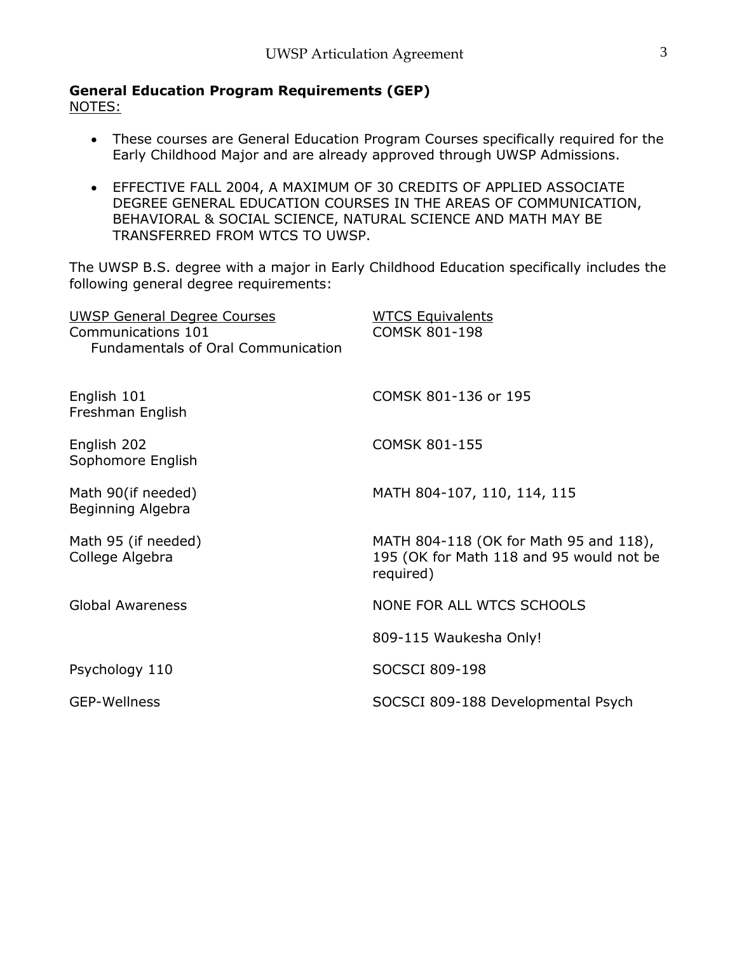**General Education Program Requirements (GEP)**

NOTES:

- These courses are General Education Program Courses specifically required for the Early Childhood Major and are already approved through UWSP Admissions.
- EFFECTIVE FALL 2004, A MAXIMUM OF 30 CREDITS OF APPLIED ASSOCIATE DEGREE GENERAL EDUCATION COURSES IN THE AREAS OF COMMUNICATION, BEHAVIORAL & SOCIAL SCIENCE, NATURAL SCIENCE AND MATH MAY BE TRANSFERRED FROM WTCS TO UWSP.

The UWSP B.S. degree with a major in Early Childhood Education specifically includes the following general degree requirements:

| <b>UWSP General Degree Courses</b><br>Communications 101<br><b>Fundamentals of Oral Communication</b> | <b>WTCS Equivalents</b><br><b>COMSK 801-198</b>                                                 |
|-------------------------------------------------------------------------------------------------------|-------------------------------------------------------------------------------------------------|
| English 101<br>Freshman English                                                                       | COMSK 801-136 or 195                                                                            |
| English 202<br>Sophomore English                                                                      | <b>COMSK 801-155</b>                                                                            |
| Math 90(if needed)<br>Beginning Algebra                                                               | MATH 804-107, 110, 114, 115                                                                     |
| Math 95 (if needed)<br>College Algebra                                                                | MATH 804-118 (OK for Math 95 and 118),<br>195 (OK for Math 118 and 95 would not be<br>required) |
| <b>Global Awareness</b>                                                                               | NONE FOR ALL WTCS SCHOOLS                                                                       |
|                                                                                                       | 809-115 Waukesha Only!                                                                          |
| Psychology 110                                                                                        | SOCSCI 809-198                                                                                  |
| <b>GEP-Wellness</b>                                                                                   | SOCSCI 809-188 Developmental Psych                                                              |
|                                                                                                       |                                                                                                 |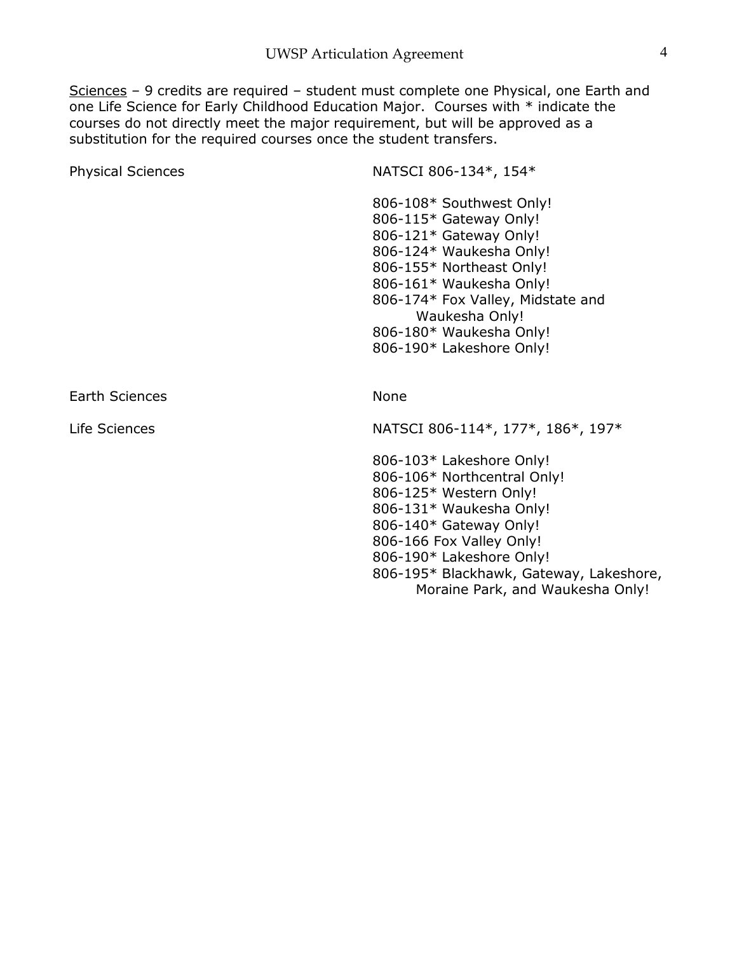Sciences – 9 credits are required – student must complete one Physical, one Earth and one Life Science for Early Childhood Education Major. Courses with \* indicate the courses do not directly meet the major requirement, but will be approved as a substitution for the required courses once the student transfers.

| Physical Sciences     | NATSCI 806-134*, 154*                                                                                                                                                                                                                                                         |
|-----------------------|-------------------------------------------------------------------------------------------------------------------------------------------------------------------------------------------------------------------------------------------------------------------------------|
|                       | 806-108* Southwest Only!<br>806-115* Gateway Only!<br>806-121* Gateway Only!<br>806-124* Waukesha Only!<br>806-155* Northeast Only!<br>806-161* Waukesha Only!<br>806-174* Fox Valley, Midstate and<br>Waukesha Only!<br>806-180* Waukesha Only!<br>806-190* Lakeshore Only!  |
| <b>Earth Sciences</b> | None                                                                                                                                                                                                                                                                          |
| Life Sciences         | NATSCI 806-114*, 177*, 186*, 197*                                                                                                                                                                                                                                             |
|                       | 806-103* Lakeshore Only!<br>806-106* Northcentral Only!<br>806-125* Western Only!<br>806-131* Waukesha Only!<br>806-140* Gateway Only!<br>806-166 Fox Valley Only!<br>806-190* Lakeshore Only!<br>806-195* Blackhawk, Gateway, Lakeshore,<br>Moraine Park, and Waukesha Only! |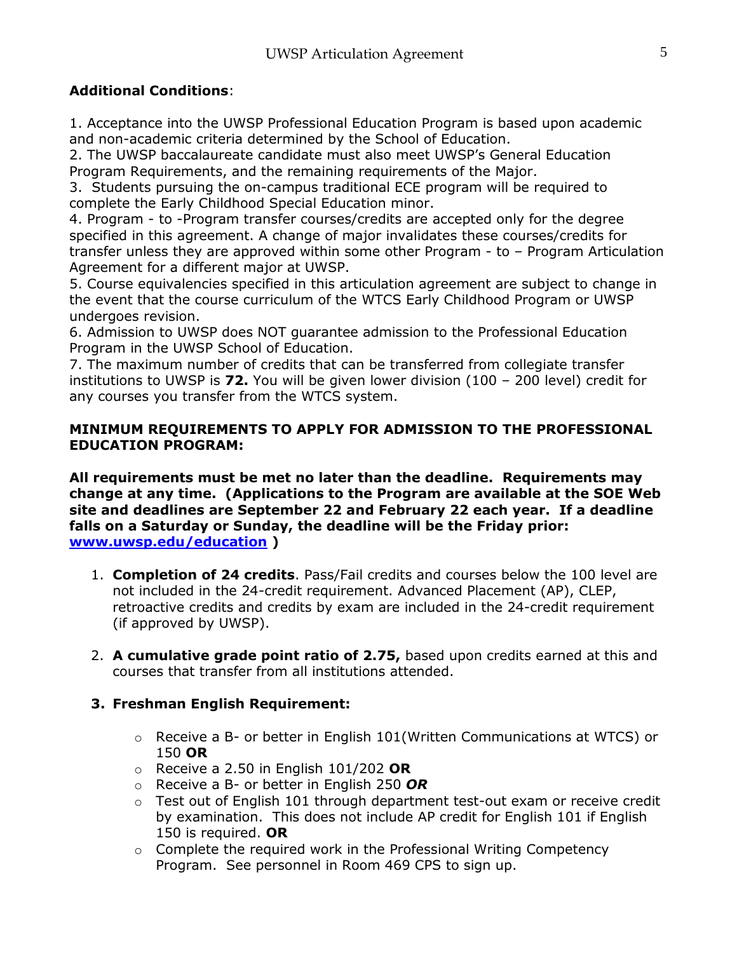# **Additional Conditions**:

1. Acceptance into the UWSP Professional Education Program is based upon academic and non-academic criteria determined by the School of Education.

2. The UWSP baccalaureate candidate must also meet UWSP's General Education Program Requirements, and the remaining requirements of the Major.

3. Students pursuing the on-campus traditional ECE program will be required to complete the Early Childhood Special Education minor.

4. Program - to -Program transfer courses/credits are accepted only for the degree specified in this agreement. A change of major invalidates these courses/credits for transfer unless they are approved within some other Program - to – Program Articulation Agreement for a different major at UWSP.

5. Course equivalencies specified in this articulation agreement are subject to change in the event that the course curriculum of the WTCS Early Childhood Program or UWSP undergoes revision.

6. Admission to UWSP does NOT guarantee admission to the Professional Education Program in the UWSP School of Education.

7. The maximum number of credits that can be transferred from collegiate transfer institutions to UWSP is **72.** You will be given lower division (100 – 200 level) credit for any courses you transfer from the WTCS system.

### **MINIMUM REQUIREMENTS TO APPLY FOR ADMISSION TO THE PROFESSIONAL EDUCATION PROGRAM:**

**All requirements must be met no later than the deadline. Requirements may change at any time. (Applications to the Program are available at the SOE Web site and deadlines are September 22 and February 22 each year. If a deadline falls on a Saturday or Sunday, the deadline will be the Friday prior: [www.uwsp.edu/education](http://www.uwsp.edu/education) )**

- 1. **Completion of 24 credits**. Pass/Fail credits and courses below the 100 level are not included in the 24-credit requirement. Advanced Placement (AP), CLEP, retroactive credits and credits by exam are included in the 24-credit requirement (if approved by UWSP).
- 2. **A cumulative grade point ratio of 2.75,** based upon credits earned at this and courses that transfer from all institutions attended.

### **3. Freshman English Requirement:**

- $\circ$  Receive a B- or better in English 101 (Written Communications at WTCS) or 150 **OR**
- o Receive a 2.50 in English 101/202 **OR**
- o Receive a B- or better in English 250 *OR*
- $\circ$  Test out of English 101 through department test-out exam or receive credit by examination. This does not include AP credit for English 101 if English 150 is required. **OR**
- $\circ$  Complete the required work in the Professional Writing Competency Program. See personnel in Room 469 CPS to sign up.